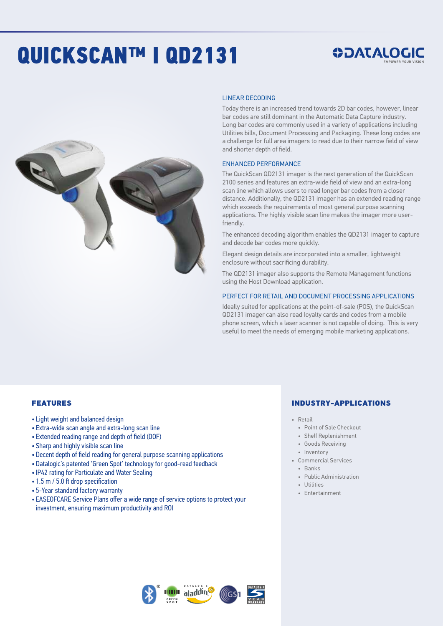# QUICKSCAN™ I QD2131

## *SOATALOGIC*



#### LINEAR DECODING

Today there is an increased trend towards 2D bar codes, however, linear bar codes are still dominant in the Automatic Data Capture industry. Long bar codes are commonly used in a variety of applications including Utilities bills, Document Processing and Packaging. These long codes are a challenge for full area imagers to read due to their narrow field of view and shorter depth of field.

#### ENHANCED PERFORMANCE

The QuickScan QD2131 imager is the next generation of the QuickScan 2100 series and features an extra-wide field of view and an extra-long scan line which allows users to read longer bar codes from a closer distance. Additionally, the QD2131 imager has an extended reading range which exceeds the requirements of most general purpose scanning applications. The highly visible scan line makes the imager more userfriendly.

The enhanced decoding algorithm enables the QD2131 imager to capture and decode bar codes more quickly.

Elegant design details are incorporated into a smaller, lightweight enclosure without sacrificing durability.

The QD2131 imager also supports the Remote Management functions using the Host Download application.

#### PERFECT FOR RETAIL AND DOCUMENT PROCESSING APPLICATIONS

Ideally suited for applications at the point-of-sale (POS), the QuickScan QD2131 imager can also read loyalty cards and codes from a mobile phone screen, which a laser scanner is not capable of doing. This is very useful to meet the needs of emerging mobile marketing applications.

#### FEATURES

- Light weight and balanced design
- Extra-wide scan angle and extra-long scan line
- Extended reading range and depth of field (DOF)
- Sharp and highly visible scan line
- Decent depth of field reading for general purpose scanning applications
- Datalogic's patented 'Green Spot' technology for good-read feedback
- IP42 rating for Particulate and Water Sealing
- 1.5 m / 5.0 ft drop specification
- 5-Year standard factory warranty
- EASEOFCARE Service Plans offer a wide range of service options to protect your investment, ensuring maximum productivity and ROI

#### INDUSTRY-APPLICATIONS

- Retail
- Point of Sale Checkout
- Shelf Replenishment
- Goods Receiving
- Inventory
- Commercial Services
	- Banks
	- Public Administration
	- Utilities
	- Entertainment